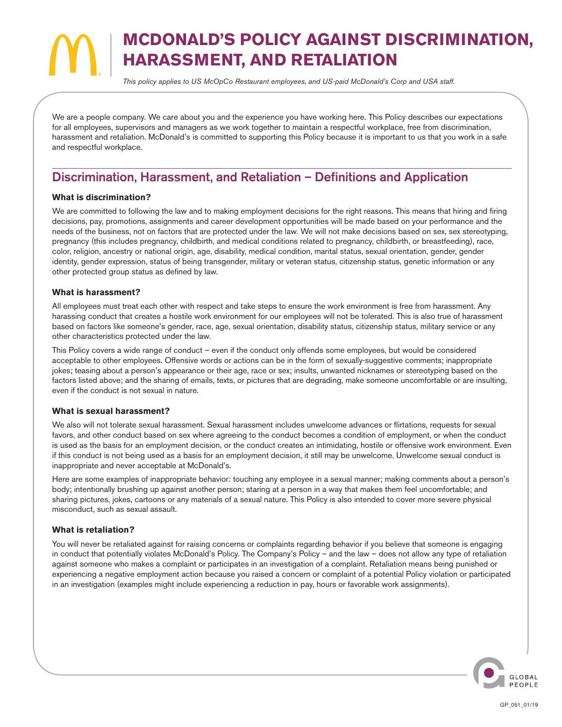# **MCDONALD'S POLICY AGAINST DISCRIMINATION, HARASSMENT, AND RETALIATION**

*This policy applies to US McOpCo Restaurant employees, and US-paid McDonald's Corp and USA staff.*

We are a people company. We care about you and the experience you have working here. This Policy describes our expectations for all employees, supervisors and managers as we work together to maintain a respectful workplace, free from discrimination, harassment and retaliation. McDonald's is committed to supporting this Policy because it is important to us that you work in a safe and respectful workplace.

## Discrimination, Harassment, and Retaliation – Definitions and Application

#### **What is discrimination?**

We are committed to following the law and to making employment decisions for the right reasons. This means that hiring and firing decisions, pay, promotions, assignments and career development opportunities will be made based on your performance and the needs of the business, not on factors that are protected under the law. We will not make decisions based on sex, sex stereotyping, pregnancy (this includes pregnancy, childbirth, and medical conditions related to pregnancy, childbirth, or breastfeeding), race, color, religion, ancestry or national origin, age, disability, medical condition, marital status, sexual orientation, gender, gender identity, gender expression, status of being transgender, military or veteran status, citizenship status, genetic information or any other protected group status as defined by law.

#### **What is harassment?**

All employees must treat each other with respect and take steps to ensure the work environment is free from harassment. Any harassing conduct that creates a hostile work environment for our employees will not be tolerated. This is also true of harassment based on factors like someone's gender, race, age, sexual orientation, disability status, citizenship status, military service or any other characteristics protected under the law.

This Policy covers a wide range of conduct – even if the conduct only offends some employees, but would be considered acceptable to other employees. Offensive words or actions can be in the form of sexually-suggestive comments; inappropriate jokes; teasing about a person's appearance or their age, race or sex; insults, unwanted nicknames or stereotyping based on the factors listed above; and the sharing of emails, texts, or pictures that are degrading, make someone uncomfortable or are insulting, even if the conduct is not sexual in nature.

#### **What is sexual harassment?**

We also will not tolerate sexual harassment. Sexual harassment includes unwelcome advances or flirtations, requests for sexual favors, and other conduct based on sex where agreeing to the conduct becomes a condition of employment, or when the conduct is used as the basis for an employment decision, or the conduct creates an intimidating, hostile or offensive work environment. Even if this conduct is not being used as a basis for an employment decision, it still may be unwelcome. Unwelcome sexual conduct is inappropriate and never acceptable at McDonald's.

Here are some examples of inappropriate behavior: touching any employee in a sexual manner; making comments about a person's body; intentionally brushing up against another person; staring at a person in a way that makes them feel uncomfortable; and sharing pictures, jokes, cartoons or any materials of a sexual nature. This Policy is also intended to cover more severe physical misconduct, such as sexual assault.

#### **What is retaliation?**

You will never be retaliated against for raising concerns or complaints regarding behavior if you believe that someone is engaging in conduct that potentially violates McDonald's Policy. The Company's Policy – and the law – does not allow any type of retaliation against someone who makes a complaint or participates in an investigation of a complaint. Retaliation means being punished or experiencing a negative employment action because you raised a concern or complaint of a potential Policy violation or participated in an investigation (examples might include experiencing a reduction in pay, hours or favorable work assignments).

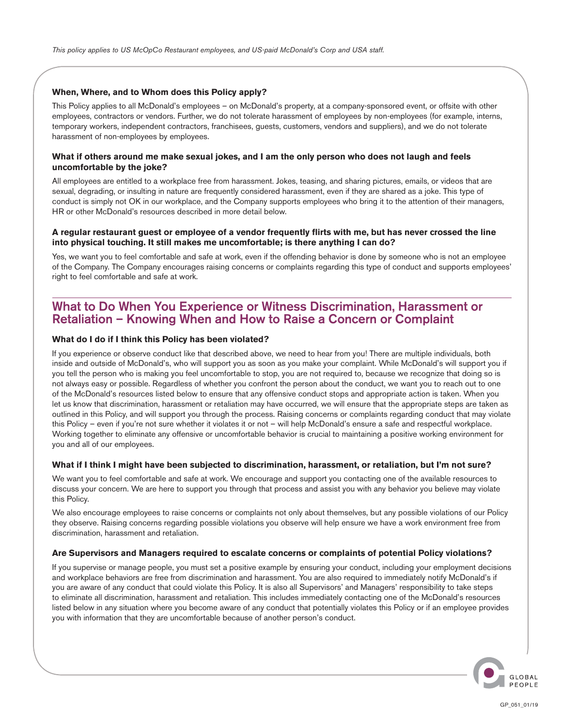#### **When, Where, and to Whom does this Policy apply?**

This Policy applies to all McDonald's employees – on McDonald's property, at a company-sponsored event, or offsite with other employees, contractors or vendors. Further, we do not tolerate harassment of employees by non-employees (for example, interns, temporary workers, independent contractors, franchisees, guests, customers, vendors and suppliers), and we do not tolerate harassment of non-employees by employees.

#### **What if others around me make sexual jokes, and I am the only person who does not laugh and feels uncomfortable by the joke?**

All employees are entitled to a workplace free from harassment. Jokes, teasing, and sharing pictures, emails, or videos that are sexual, degrading, or insulting in nature are frequently considered harassment, even if they are shared as a joke. This type of conduct is simply not OK in our workplace, and the Company supports employees who bring it to the attention of their managers, HR or other McDonald's resources described in more detail below.

#### **A regular restaurant guest or employee of a vendor frequently flirts with me, but has never crossed the line into physical touching. It still makes me uncomfortable; is there anything I can do?**

Yes, we want you to feel comfortable and safe at work, even if the offending behavior is done by someone who is not an employee of the Company. The Company encourages raising concerns or complaints regarding this type of conduct and supports employees' right to feel comfortable and safe at work.

### What to Do When You Experience or Witness Discrimination, Harassment or Retaliation – Knowing When and How to Raise a Concern or Complaint

#### **What do I do if I think this Policy has been violated?**

If you experience or observe conduct like that described above, we need to hear from you! There are multiple individuals, both inside and outside of McDonald's, who will support you as soon as you make your complaint. While McDonald's will support you if you tell the person who is making you feel uncomfortable to stop, you are not required to, because we recognize that doing so is not always easy or possible. Regardless of whether you confront the person about the conduct, we want you to reach out to one of the McDonald's resources listed below to ensure that any offensive conduct stops and appropriate action is taken. When you let us know that discrimination, harassment or retaliation may have occurred, we will ensure that the appropriate steps are taken as outlined in this Policy, and will support you through the process. Raising concerns or complaints regarding conduct that may violate this Policy – even if you're not sure whether it violates it or not – will help McDonald's ensure a safe and respectful workplace. Working together to eliminate any offensive or uncomfortable behavior is crucial to maintaining a positive working environment for you and all of our employees.

#### **What if I think I might have been subjected to discrimination, harassment, or retaliation, but I'm not sure?**

We want you to feel comfortable and safe at work. We encourage and support you contacting one of the available resources to discuss your concern. We are here to support you through that process and assist you with any behavior you believe may violate this Policy.

We also encourage employees to raise concerns or complaints not only about themselves, but any possible violations of our Policy they observe. Raising concerns regarding possible violations you observe will help ensure we have a work environment free from discrimination, harassment and retaliation.

#### **Are Supervisors and Managers required to escalate concerns or complaints of potential Policy violations?**

If you supervise or manage people, you must set a positive example by ensuring your conduct, including your employment decisions and workplace behaviors are free from discrimination and harassment. You are also required to immediately notify McDonald's if you are aware of any conduct that could violate this Policy. It is also all Supervisors' and Managers' responsibility to take steps to eliminate all discrimination, harassment and retaliation. This includes immediately contacting one of the McDonald's resources listed below in any situation where you become aware of any conduct that potentially violates this Policy or if an employee provides you with information that they are uncomfortable because of another person's conduct.

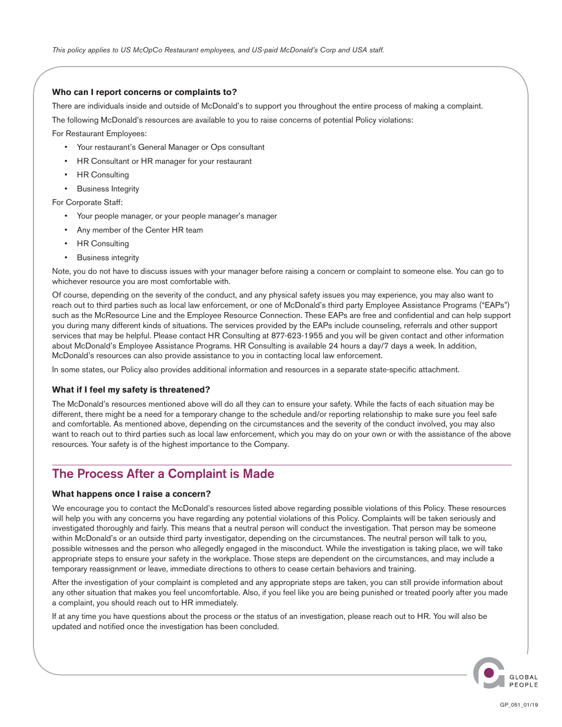#### **Who can I report concerns or complaints to?**

There are individuals inside and outside of McDonald's to support you throughout the entire process of making a complaint.

The following McDonald's resources are available to you to raise concerns of potential Policy violations:

For Restaurant Employees:

- Your restaurant's General Manager or Ops consultant
- HR Consultant or HR manager for your restaurant
- HR Consulting
- Business Integrity

For Corporate Staff:

- Your people manager, or your people manager's manager
- Any member of the Center HR team
- **HR Consulting**
- Business integrity

Note, you do not have to discuss issues with your manager before raising a concern or complaint to someone else. You can go to whichever resource you are most comfortable with.

Of course, depending on the severity of the conduct, and any physical safety issues you may experience, you may also want to reach out to third parties such as local law enforcement, or one of McDonald's third party Employee Assistance Programs ("EAPs") such as the McResource Line and the Employee Resource Connection. These EAPs are free and confidential and can help support you during many different kinds of situations. The services provided by the EAPs include counseling, referrals and other support services that may be helpful. Please contact HR Consulting at 877-623-1955 and you will be given contact and other information about McDonald's Employee Assistance Programs. HR Consulting is available 24 hours a day/7 days a week. In addition, McDonald's resources can also provide assistance to you in contacting local law enforcement.

In some states, our Policy also provides additional information and resources in a separate state-specific attachment.

#### **What if I feel my safety is threatened?**

The McDonald's resources mentioned above will do all they can to ensure your safety. While the facts of each situation may be different, there might be a need for a temporary change to the schedule and/or reporting relationship to make sure you feel safe and comfortable. As mentioned above, depending on the circumstances and the severity of the conduct involved, you may also want to reach out to third parties such as local law enforcement, which you may do on your own or with the assistance of the above resources. Your safety is of the highest importance to the Company.

## The Process After a Complaint is Made

#### **What happens once I raise a concern?**

We encourage you to contact the McDonald's resources listed above regarding possible violations of this Policy. These resources will help you with any concerns you have regarding any potential violations of this Policy. Complaints will be taken seriously and investigated thoroughly and fairly. This means that a neutral person will conduct the investigation. That person may be someone within McDonald's or an outside third party investigator, depending on the circumstances. The neutral person will talk to you, possible witnesses and the person who allegedly engaged in the misconduct. While the investigation is taking place, we will take appropriate steps to ensure your safety in the workplace. Those steps are dependent on the circumstances, and may include a temporary reassignment or leave, immediate directions to others to cease certain behaviors and training.

After the investigation of your complaint is completed and any appropriate steps are taken, you can still provide information about any other situation that makes you feel uncomfortable. Also, if you feel like you are being punished or treated poorly after you made a complaint, you should reach out to HR immediately.

If at any time you have questions about the process or the status of an investigation, please reach out to HR. You will also be updated and notified once the investigation has been concluded.